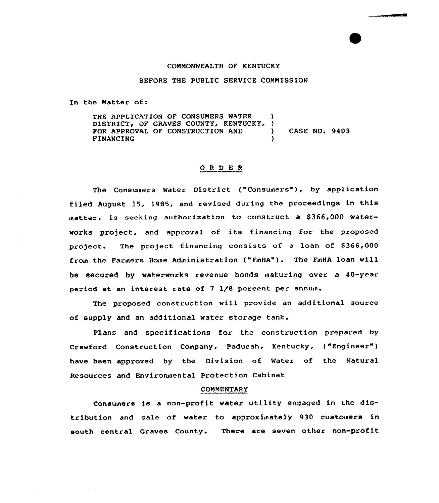#### COMMONWEALTH OF KENTUCKY

## BEFORE THE PUBLIC SERVICE COMMISSION

In the Matter of:

THE APPLICATION OF CONSUMERS WATER DISTRICT, OF GRAVES COUNTY, KENTUCKY, ) FOR APPROVAL OF CONSTRUCTION AND ) CASE NO. 9403 FINANCING )

## ORDER

The Consumers Water District ("Consumers"), by application filed August 15, 1985, and revised during the proceedings in this matter, is seeking authorization to construct a \$366,000 waterworks project, and approval of its financing for the proposed project. The project financing consists of a loan of \$366,000 eroin the Farmers Home Administration ("FinHA"). The FinHA loan will be secured by waterworks revenue bonds inaturing over a 40-year period at an interest rate of 7 1/8 percent per annuin.

The proposed construction will provide an additional source of supply and an additional water storage tank.

Plans and specifications for the construction prepared by Crawford Construction Coinpany, Paducah, Kentucky, ("Engineer" ) have been approved by the Division of Water of the Natural Resources and Environnental Protection Cabinet

### **COMMENTARY**

Consumers is a non-profit water utility engaged in the distribution and sale of water to approximately 930 customers in south central Graves County. There are seven other non-profit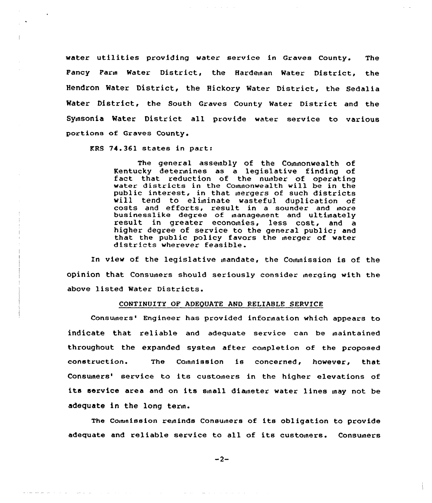water utilities providing water service in Graves County, The Pancy Parin Water District, the Hardeinan Mater District, the Hendron Water District, the Hickory Mater District, the Sedalia Water District, the South Graves County Mater District and the Syinsonia Mater District all provide water service to various portions of Graves County.

KRS 74.361 states in part:

 $\mathcal{L}^{\mathcal{L}}$  and the set of the set of the set of the set of the  $\mathcal{L}^{\mathcal{L}}$ 

The general assembly of the Commonwealth of Kentucky deterinines as <sup>a</sup> legislative finding of fact that reduction of the nunber of operating fact that reduction of the number of operating<br>water districts in the Commonwealth will be in the public interest, in that inergers of such districts will tend to eliminate wasteful duplication of costs and efforts, result in a sounder and more<br>businesslike degree of management and ultimately<br>result in greater economies, less cost, and a higher degree of service to the general public; and that the public policy favors the merger of water<br>districts wherever feasible.

In view of the legislative inandate, the Conunission is of the opinion that Consumers should seriously consider inerging with the above listed Water Districts.

#### CONTINUITY OP ADEQUATE AND RELIABLE SERVICE

Consumers' Engineer has provided information which appears to indicate that reliable and adequate service can be inaintained throughout the expanded system after completion of the proposed construction. The Cojninission is concerned, however, that Consumers' service to its customers in the higher elevations of its service area and on its sinall dianeter water lines inay not be adequate in the long term.

The Commission reminds Consumers of its obligation to provide adequate and reliable service to all of its customers. Consumers

 $-2-$ 

 $\mathcal{C}$  , and the set of the set of the set of the set of  $\mathcal{C}$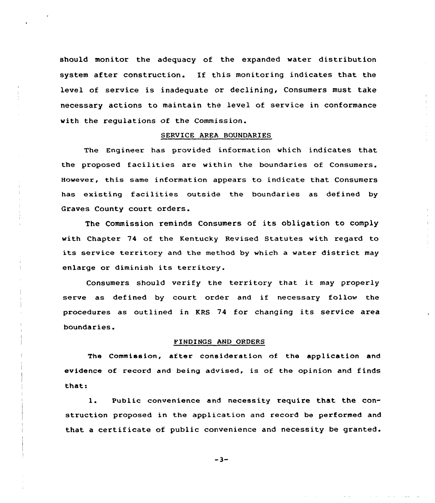should monitor the adequacy of the expanded water distribution system after construction. If this monitoring indicates that the level of service is inadequate or declining, Consumers must take necessary actions to maintain the level of service in conformance with the regulations of the Commission.

# SERVICE AREA SOUNDARIES

The Engineer has provided information which indicates that the proposed facilities are within the boundaries of Consumers. However, this same information appears to indicate that Consumers has existing facilities outside the boundaries as defined by Graves County court orders.

The Commission reminds Consumers of its obligation to comply with Chapter 74 of the Kentucky Revised Statutes with regard to its service territory and the method by which <sup>a</sup> water district may enlarge or diminish its territory.

Consumers should verify the territory that it may properly serve as defined by court order and if necessary follow the procedures as outlined in KRS <sup>74</sup> for changing its service area boundaries.

# FINDINGS AND QRDERS

The Commission, after consideration of the application and evidence of record and being advised, is of the opinion and finds that:

1. Public convenience and necessity require that the construction proposed in the application and record be performed and that <sup>a</sup> certificate of public convenience and necessity be granted.

 $-3-$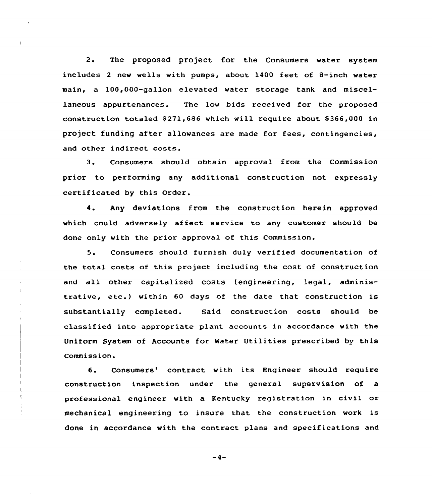2. The proposed project for the Consumers water system includes <sup>2</sup> new wells with pumps, about 1400 feet of 8-inch water main, a 100,000-gallon elevated water storage tank and miscellaneous appurtenances. The low bids received for the proposed construction totaled \$271,686 which will require about \$366,000 in project funding after allowances are made for fees, contingencies, and other indirect costs.

 $\ddot{\phantom{1}}$ 

3. Consumers should obtain approval from the Commission prior to performing any additional construction not expressly certificated by this Order.

4. Any deviations from the construction herein approved which could adversely affect service to any customer should be done only with the prior approval of this Commission.

5. Consumers should furnish duly verified documentation of the total costs of this project including the cost of construction and all other capitalized costs (engineering, legal, administrative, etc.) within <sup>60</sup> days of the date that construction is substantially completed. Said construction costs should be classified into appropriate plant accounts in accordance with the Uniform System of Accounts for Water Utilities prescribed by this Commission.

6. Consumers'ontract with its Engineer should require construction inspection under the general supervision of a professional engineer with a Kentucky registration in civil or mechanical engineering to insure that the construction work is done in accordance with the contract plans and specifications and

 $-4-$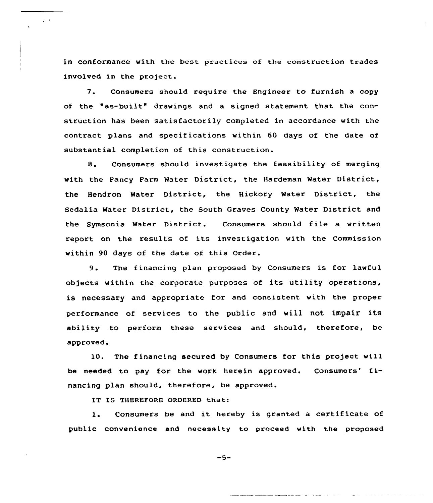in conformance with the best practices of the construction trades involved in the project.

 $\sim$   $\sim$ 

7. Consumers should require the Engineer to furnish <sup>a</sup> copy of the "as-built" drawings and a signed statement that the construction has been satisfactorily completed in accordance with the contract plans and specifications within 60 days of the date of substantial completion of this construction.

8. Consumers should investigate the feasibility of merging with the Fancy Farm Water District, the Hardeman Water District, the Hendron Water District, the Hickory Water District, the Sedalia Water District, the South Graves County Water District and the Symsonia Water District. Consumers should file <sup>a</sup> written report on the results of its investigation with the Commission within 90 days of the date of this Order.

9. The financing plan proposed by Consumers is for lawful objects within the corporate purposes of its utility operations, is necessary and appropriate for and consistent with the proper performance of services to the public and will not impair its ability to perform these services and should, therefore, be approved.

l0. The financing secured by Consumers for this project will be needed to pay for the work herein approved. Consumers' financing plan should, therefore, be approved.

IT IS THEREFORE ORDERED that:

l. Consumers be and it hereby is granted <sup>a</sup> certificate of public convenience and necessity to proceed with the proposed

$$
-5-
$$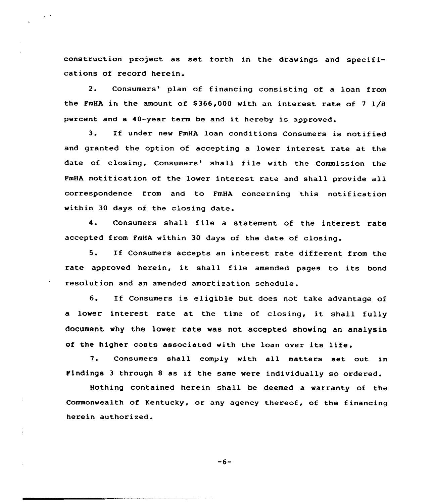construction project as set forth in the drawings and specifications of record herein.

2. Consumers' plan of financing consisting of a loan from the FMHA in the amount of  $$366,000$  with an interest rate of 7  $1/8$ percent and <sup>a</sup> 40-year term be and it hereby is approved.

3. If under new FmHA loan conditions Consumers is notified and granted the option of accepting a lower interest rate at the date of closing, Consumers' shall file with the Commission the FmHA notification of the lower interest rate and shall provide all correspondence from and to FmHA concerning this notification within 30 days of the closing date.

4. Consumers shall file <sup>a</sup> statement of the interest rate accepted from FmHA within 30 days of the date of closing.

5. If Consumers accepts an interest rate different from the rate approved herein, it shall file amended pages to its bond resolution and an amended amortization schedule.

6. If Consumers is eligible but does not take advantage of <sup>a</sup> lower interest rate at the time of closing, it shall fully document why the lower rate was not accepted showing an analysis of the higher costs associated with the loan over its life.

7. Consumers shall comply with all matters set out in Findings <sup>3</sup> through <sup>8</sup> as if the same were individually so ordered.

Nothing contained herein shall be deemed a warranty of the Commonwealth of Kentucky, or any agency thereof, of the financing herein authorized.

 $-6-$